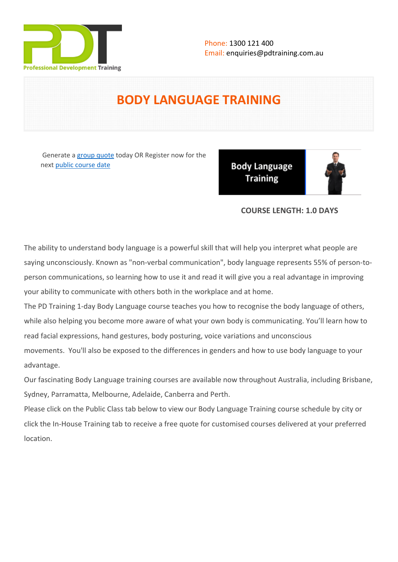

# **BODY LANGUAGE TRAINING**

Generate a [group quote](https://pdtraining.com.au/inhouse-training-quote?cse=PDT0140) today OR Register now for the next [public course date](https://pdtraining.com.au/booking?schedulecode=2ekuzTOLglkiUk2LZCofHUPpwuT9DxfUwvNqx8ydxQwut9rT4kdCJrRhz57e9PhSgAWxHLn0fkR1xu6ydaftuNkfOF1CbseSJNo3m2mt7nwzJZSf8Ka9KYyCpRUbUUZWg8sUfdllXWvhrVFYXVEAse&countryCode=AU¤cyCode=AU)

**Body Language Training** 



# **COURSE LENGTH: 1.0 DAYS**

The ability to understand body language is a powerful skill that will help you interpret what people are saying unconsciously. Known as "non-verbal communication", body language represents 55% of person-toperson communications, so learning how to use it and read it will give you a real advantage in improving your ability to communicate with others both in the workplace and at home.

The PD Training 1-day Body Language course teaches you how to recognise the body language of others, while also helping you become more aware of what your own body is communicating. You'll learn how to read facial expressions, hand gestures, body posturing, voice variations and unconscious movements. You'll also be exposed to the differences in genders and how to use body language to your advantage.

Our fascinating Body Language training courses are available now throughout Australia, including Brisbane, Sydney, Parramatta, Melbourne, Adelaide, Canberra and Perth.

Please click on the Public Class tab below to view our Body Language Training course schedule by city or click the In-House Training tab to receive a free quote for customised courses delivered at your preferred location.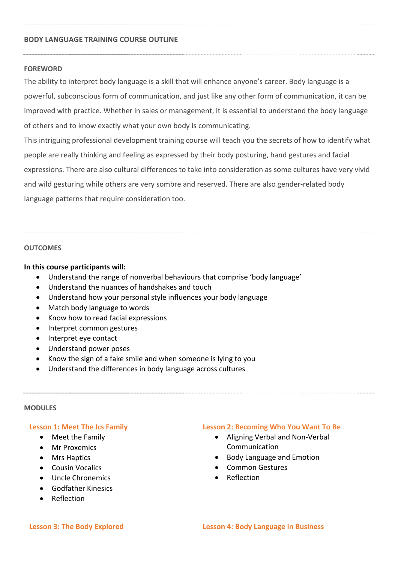#### **BODY LANGUAGE TRAINING COURSE OUTLINE**

#### **FOREWORD**

The ability to interpret body language is a skill that will enhance anyone's career. Body language is a powerful, subconscious form of communication, and just like any other form of communication, it can be improved with practice. Whether in sales or management, it is essential to understand the body language of others and to know exactly what your own body is communicating.

This intriguing professional development training course will teach you the secrets of how to identify what people are really thinking and feeling as expressed by their body posturing, hand gestures and facial expressions. There are also cultural differences to take into consideration as some cultures have very vivid and wild gesturing while others are very sombre and reserved. There are also gender-related body language patterns that require consideration too.

### **OUTCOMES**

#### **In this course participants will:**

- Understand the range of nonverbal behaviours that comprise 'body language'
- Understand the nuances of handshakes and touch
- Understand how your personal style influences your body language
- Match body language to words
- Know how to read facial expressions
- Interpret common gestures
- Interpret eye contact
- Understand power poses
- Know the sign of a fake smile and when someone is lying to you
- Understand the differences in body language across cultures

#### **MODULES**

#### **Lesson 1: Meet The Ics Family**

- Meet the Family
- Mr Proxemics
- Mrs Haptics
- Cousin Vocalics
- Uncle Chronemics
- Godfather Kinesics
- Reflection

# **Lesson 2: Becoming Who You Want To Be**

- Aligning Verbal and Non-Verbal Communication
- Body Language and Emotion
- Common Gestures
- Reflection